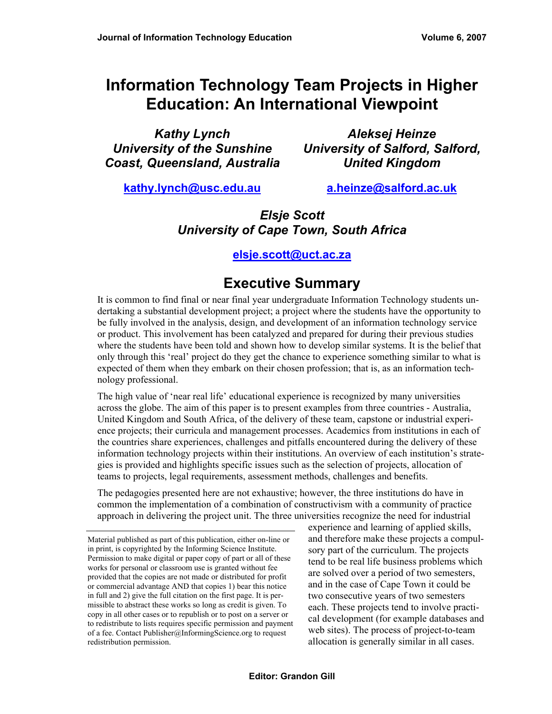# **Information Technology Team Projects in Higher Education: An International Viewpoint**

*Kathy Lynch University of the Sunshine Coast, Queensland, Australia* 

*Aleksej Heinze University of Salford, Salford, United Kingdom* 

**kathy.lynch@usc.edu.au**

**a.heinze@salford.ac.uk**

### *Elsje Scott University of Cape Town, South Africa*

#### **elsje.scott@uct.ac.za**

## **Executive Summary**

It is common to find final or near final year undergraduate Information Technology students undertaking a substantial development project; a project where the students have the opportunity to be fully involved in the analysis, design, and development of an information technology service or product. This involvement has been catalyzed and prepared for during their previous studies where the students have been told and shown how to develop similar systems. It is the belief that only through this 'real' project do they get the chance to experience something similar to what is expected of them when they embark on their chosen profession; that is, as an information technology professional.

The high value of 'near real life' educational experience is recognized by many universities across the globe. The aim of this paper is to present examples from three countries - Australia, United Kingdom and South Africa, of the delivery of these team, capstone or industrial experience projects; their curricula and management processes. Academics from institutions in each of the countries share experiences, challenges and pitfalls encountered during the delivery of these information technology projects within their institutions. An overview of each institution's strategies is provided and highlights specific issues such as the selection of projects, allocation of teams to projects, legal requirements, assessment methods, challenges and benefits.

The pedagogies presented here are not exhaustive; however, the three institutions do have in common the implementation of a combination of constructivism with a community of practice approach in delivering the project unit. The three universities recognize the need for industrial

experience and learning of applied skills, and therefore make these projects a compulsory part of the curriculum. The projects tend to be real life business problems which are solved over a period of two semesters, and in the case of Cape Town it could be two consecutive years of two semesters each. These projects tend to involve practical development (for example databases and web sites). The process of project-to-team allocation is generally similar in all cases.

Material published as part of this publication, either on-line or in print, is copyrighted by the Informing Science Institute. Permission to make digital or paper copy of part or all of these works for personal or classroom use is granted without fee provided that the copies are not made or distributed for profit or commercial advantage AND that copies 1) bear this notice in full and 2) give the full citation on the first page. It is permissible to abstract these works so long as credit is given. To copy in all other cases or to republish or to post on a server or to redistribute to lists requires specific permission and payment of a fee. Contact Publisher@InformingScience.org to request redistribution permission.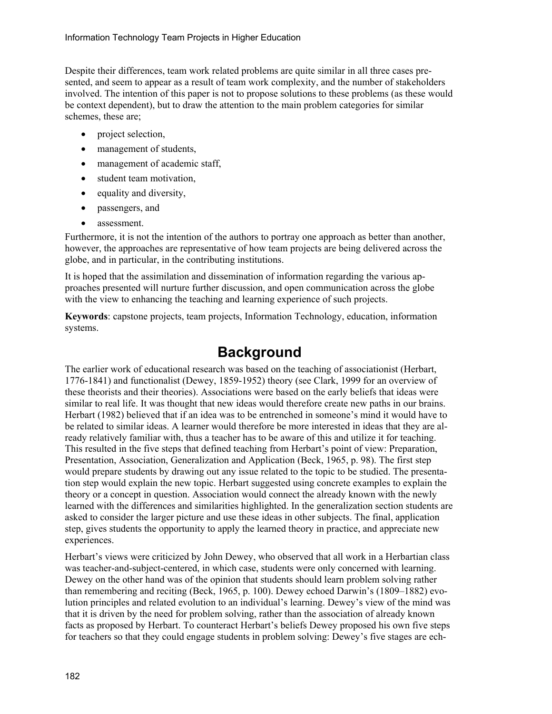Despite their differences, team work related problems are quite similar in all three cases presented, and seem to appear as a result of team work complexity, and the number of stakeholders involved. The intention of this paper is not to propose solutions to these problems (as these would be context dependent), but to draw the attention to the main problem categories for similar schemes, these are;

- project selection,
- management of students,
- management of academic staff,
- student team motivation,
- equality and diversity,
- passengers, and
- assessment.

Furthermore, it is not the intention of the authors to portray one approach as better than another, however, the approaches are representative of how team projects are being delivered across the globe, and in particular, in the contributing institutions.

It is hoped that the assimilation and dissemination of information regarding the various approaches presented will nurture further discussion, and open communication across the globe with the view to enhancing the teaching and learning experience of such projects.

**Keywords**: capstone projects, team projects, Information Technology, education, information systems.

## **Background**

The earlier work of educational research was based on the teaching of associationist (Herbart, 1776-1841) and functionalist (Dewey, 1859-1952) theory (see Clark, 1999 for an overview of these theorists and their theories). Associations were based on the early beliefs that ideas were similar to real life. It was thought that new ideas would therefore create new paths in our brains. Herbart (1982) believed that if an idea was to be entrenched in someone's mind it would have to be related to similar ideas. A learner would therefore be more interested in ideas that they are already relatively familiar with, thus a teacher has to be aware of this and utilize it for teaching. This resulted in the five steps that defined teaching from Herbart's point of view: Preparation, Presentation, Association, Generalization and Application (Beck, 1965, p. 98). The first step would prepare students by drawing out any issue related to the topic to be studied. The presentation step would explain the new topic. Herbart suggested using concrete examples to explain the theory or a concept in question. Association would connect the already known with the newly learned with the differences and similarities highlighted. In the generalization section students are asked to consider the larger picture and use these ideas in other subjects. The final, application step, gives students the opportunity to apply the learned theory in practice, and appreciate new experiences.

Herbart's views were criticized by John Dewey, who observed that all work in a Herbartian class was teacher-and-subject-centered, in which case, students were only concerned with learning. Dewey on the other hand was of the opinion that students should learn problem solving rather than remembering and reciting (Beck, 1965, p. 100). Dewey echoed Darwin's (1809–1882) evolution principles and related evolution to an individual's learning. Dewey's view of the mind was that it is driven by the need for problem solving, rather than the association of already known facts as proposed by Herbart. To counteract Herbart's beliefs Dewey proposed his own five steps for teachers so that they could engage students in problem solving: Dewey's five stages are ech-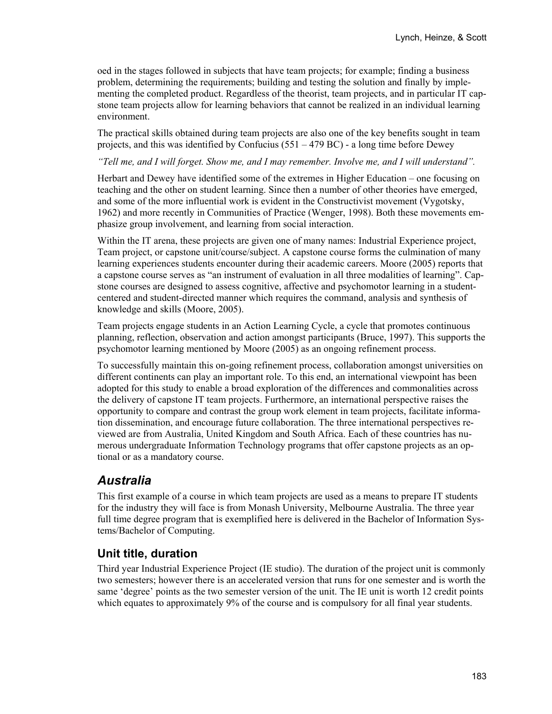oed in the stages followed in subjects that have team projects; for example; finding a business problem, determining the requirements; building and testing the solution and finally by implementing the completed product. Regardless of the theorist, team projects, and in particular IT capstone team projects allow for learning behaviors that cannot be realized in an individual learning environment.

The practical skills obtained during team projects are also one of the key benefits sought in team projects, and this was identified by Confucius (551 – 479 BC) - a long time before Dewey

*"Tell me, and I will forget. Show me, and I may remember. Involve me, and I will understand".* 

Herbart and Dewey have identified some of the extremes in Higher Education – one focusing on teaching and the other on student learning. Since then a number of other theories have emerged, and some of the more influential work is evident in the Constructivist movement (Vygotsky, 1962) and more recently in Communities of Practice (Wenger, 1998). Both these movements emphasize group involvement, and learning from social interaction.

Within the IT arena, these projects are given one of many names: Industrial Experience project, Team project, or capstone unit/course/subject. A capstone course forms the culmination of many learning experiences students encounter during their academic careers. Moore (2005) reports that a capstone course serves as "an instrument of evaluation in all three modalities of learning". Capstone courses are designed to assess cognitive, affective and psychomotor learning in a studentcentered and student-directed manner which requires the command, analysis and synthesis of knowledge and skills (Moore, 2005).

Team projects engage students in an Action Learning Cycle, a cycle that promotes continuous planning, reflection, observation and action amongst participants (Bruce, 1997). This supports the psychomotor learning mentioned by Moore (2005) as an ongoing refinement process.

To successfully maintain this on-going refinement process, collaboration amongst universities on different continents can play an important role. To this end, an international viewpoint has been adopted for this study to enable a broad exploration of the differences and commonalities across the delivery of capstone IT team projects. Furthermore, an international perspective raises the opportunity to compare and contrast the group work element in team projects, facilitate information dissemination, and encourage future collaboration. The three international perspectives reviewed are from Australia, United Kingdom and South Africa. Each of these countries has numerous undergraduate Information Technology programs that offer capstone projects as an optional or as a mandatory course.

## *Australia*

This first example of a course in which team projects are used as a means to prepare IT students for the industry they will face is from Monash University, Melbourne Australia. The three year full time degree program that is exemplified here is delivered in the Bachelor of Information Systems/Bachelor of Computing.

#### **Unit title, duration**

Third year Industrial Experience Project (IE studio). The duration of the project unit is commonly two semesters; however there is an accelerated version that runs for one semester and is worth the same 'degree' points as the two semester version of the unit. The IE unit is worth 12 credit points which equates to approximately 9% of the course and is compulsory for all final year students.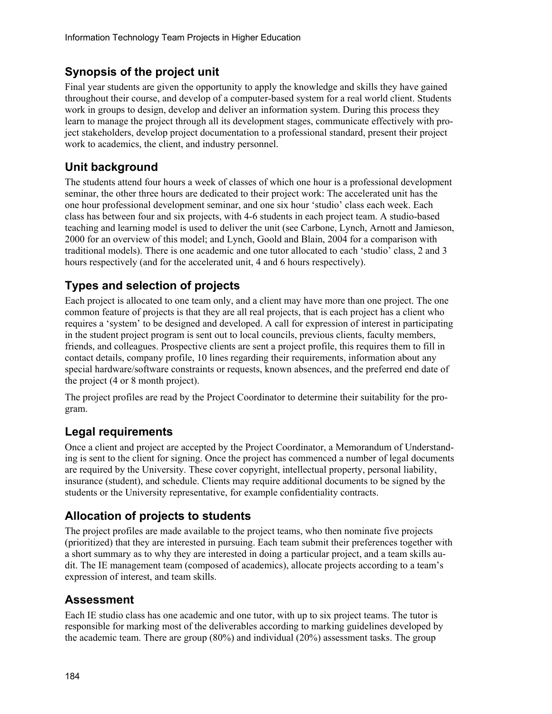#### **Synopsis of the project unit**

Final year students are given the opportunity to apply the knowledge and skills they have gained throughout their course, and develop of a computer-based system for a real world client. Students work in groups to design, develop and deliver an information system. During this process they learn to manage the project through all its development stages, communicate effectively with project stakeholders, develop project documentation to a professional standard, present their project work to academics, the client, and industry personnel.

### **Unit background**

The students attend four hours a week of classes of which one hour is a professional development seminar, the other three hours are dedicated to their project work: The accelerated unit has the one hour professional development seminar, and one six hour 'studio' class each week. Each class has between four and six projects, with 4-6 students in each project team. A studio-based teaching and learning model is used to deliver the unit (see Carbone, Lynch, Arnott and Jamieson, 2000 for an overview of this model; and Lynch, Goold and Blain, 2004 for a comparison with traditional models). There is one academic and one tutor allocated to each 'studio' class, 2 and 3 hours respectively (and for the accelerated unit, 4 and 6 hours respectively).

## **Types and selection of projects**

Each project is allocated to one team only, and a client may have more than one project. The one common feature of projects is that they are all real projects, that is each project has a client who requires a 'system' to be designed and developed. A call for expression of interest in participating in the student project program is sent out to local councils, previous clients, faculty members, friends, and colleagues. Prospective clients are sent a project profile, this requires them to fill in contact details, company profile, 10 lines regarding their requirements, information about any special hardware/software constraints or requests, known absences, and the preferred end date of the project (4 or 8 month project).

The project profiles are read by the Project Coordinator to determine their suitability for the program.

#### **Legal requirements**

Once a client and project are accepted by the Project Coordinator, a Memorandum of Understanding is sent to the client for signing. Once the project has commenced a number of legal documents are required by the University. These cover copyright, intellectual property, personal liability, insurance (student), and schedule. Clients may require additional documents to be signed by the students or the University representative, for example confidentiality contracts.

#### **Allocation of projects to students**

The project profiles are made available to the project teams, who then nominate five projects (prioritized) that they are interested in pursuing. Each team submit their preferences together with a short summary as to why they are interested in doing a particular project, and a team skills audit. The IE management team (composed of academics), allocate projects according to a team's expression of interest, and team skills.

#### **Assessment**

Each IE studio class has one academic and one tutor, with up to six project teams. The tutor is responsible for marking most of the deliverables according to marking guidelines developed by the academic team. There are group (80%) and individual (20%) assessment tasks. The group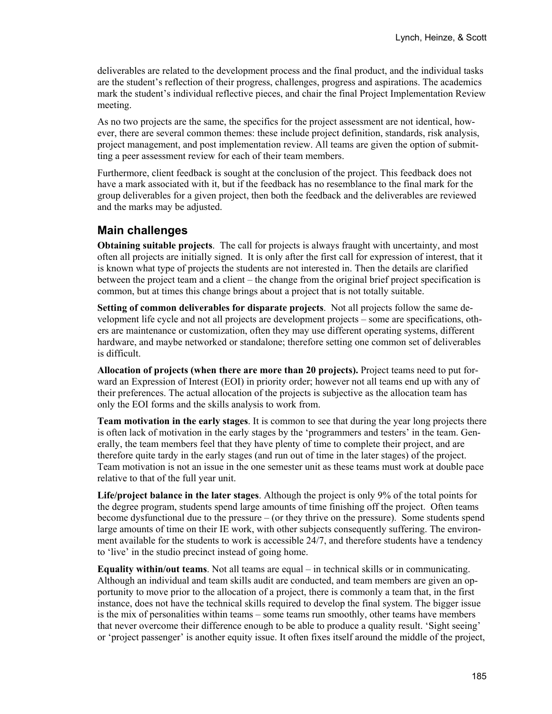deliverables are related to the development process and the final product, and the individual tasks are the student's reflection of their progress, challenges, progress and aspirations. The academics mark the student's individual reflective pieces, and chair the final Project Implementation Review meeting.

As no two projects are the same, the specifics for the project assessment are not identical, however, there are several common themes: these include project definition, standards, risk analysis, project management, and post implementation review. All teams are given the option of submitting a peer assessment review for each of their team members.

Furthermore, client feedback is sought at the conclusion of the project. This feedback does not have a mark associated with it, but if the feedback has no resemblance to the final mark for the group deliverables for a given project, then both the feedback and the deliverables are reviewed and the marks may be adjusted.

#### **Main challenges**

**Obtaining suitable projects**. The call for projects is always fraught with uncertainty, and most often all projects are initially signed. It is only after the first call for expression of interest, that it is known what type of projects the students are not interested in. Then the details are clarified between the project team and a client – the change from the original brief project specification is common, but at times this change brings about a project that is not totally suitable.

**Setting of common deliverables for disparate projects**. Not all projects follow the same development life cycle and not all projects are development projects – some are specifications, others are maintenance or customization, often they may use different operating systems, different hardware, and maybe networked or standalone; therefore setting one common set of deliverables is difficult.

**Allocation of projects (when there are more than 20 projects).** Project teams need to put forward an Expression of Interest (EOI) in priority order; however not all teams end up with any of their preferences. The actual allocation of the projects is subjective as the allocation team has only the EOI forms and the skills analysis to work from.

**Team motivation in the early stages**. It is common to see that during the year long projects there is often lack of motivation in the early stages by the 'programmers and testers' in the team. Generally, the team members feel that they have plenty of time to complete their project, and are therefore quite tardy in the early stages (and run out of time in the later stages) of the project. Team motivation is not an issue in the one semester unit as these teams must work at double pace relative to that of the full year unit.

**Life/project balance in the later stages**. Although the project is only 9% of the total points for the degree program, students spend large amounts of time finishing off the project. Often teams become dysfunctional due to the pressure – (or they thrive on the pressure). Some students spend large amounts of time on their IE work, with other subjects consequently suffering. The environment available for the students to work is accessible 24/7, and therefore students have a tendency to 'live' in the studio precinct instead of going home.

**Equality within/out teams**. Not all teams are equal – in technical skills or in communicating. Although an individual and team skills audit are conducted, and team members are given an opportunity to move prior to the allocation of a project, there is commonly a team that, in the first instance, does not have the technical skills required to develop the final system. The bigger issue is the mix of personalities within teams – some teams run smoothly, other teams have members that never overcome their difference enough to be able to produce a quality result. 'Sight seeing' or 'project passenger' is another equity issue. It often fixes itself around the middle of the project,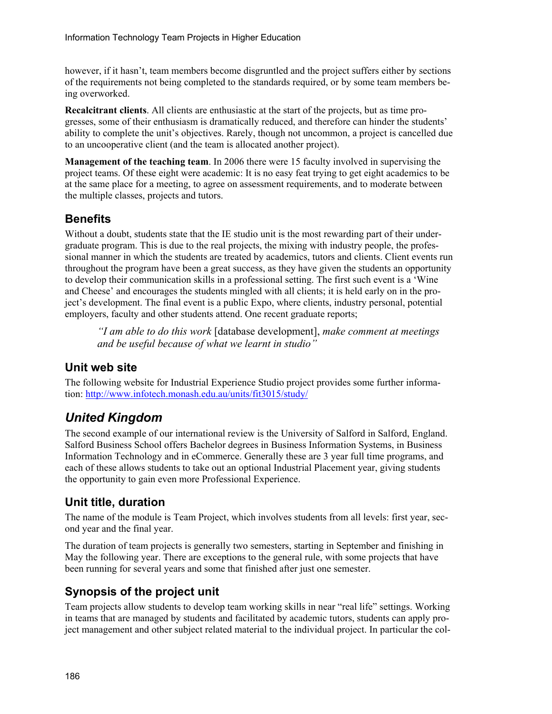however, if it hasn't, team members become disgruntled and the project suffers either by sections of the requirements not being completed to the standards required, or by some team members being overworked.

**Recalcitrant clients**. All clients are enthusiastic at the start of the projects, but as time progresses, some of their enthusiasm is dramatically reduced, and therefore can hinder the students' ability to complete the unit's objectives. Rarely, though not uncommon, a project is cancelled due to an uncooperative client (and the team is allocated another project).

**Management of the teaching team**. In 2006 there were 15 faculty involved in supervising the project teams. Of these eight were academic: It is no easy feat trying to get eight academics to be at the same place for a meeting, to agree on assessment requirements, and to moderate between the multiple classes, projects and tutors.

#### **Benefits**

Without a doubt, students state that the IE studio unit is the most rewarding part of their undergraduate program. This is due to the real projects, the mixing with industry people, the professional manner in which the students are treated by academics, tutors and clients. Client events run throughout the program have been a great success, as they have given the students an opportunity to develop their communication skills in a professional setting. The first such event is a 'Wine and Cheese' and encourages the students mingled with all clients; it is held early on in the project's development. The final event is a public Expo, where clients, industry personal, potential employers, faculty and other students attend. One recent graduate reports;

*"I am able to do this work* [database development], *make comment at meetings and be useful because of what we learnt in studio"* 

#### **Unit web site**

The following website for Industrial Experience Studio project provides some further information: http://www.infotech.monash.edu.au/units/fit3015/study/

## *United Kingdom*

The second example of our international review is the University of Salford in Salford, England. Salford Business School offers Bachelor degrees in Business Information Systems, in Business Information Technology and in eCommerce. Generally these are 3 year full time programs, and each of these allows students to take out an optional Industrial Placement year, giving students the opportunity to gain even more Professional Experience.

#### **Unit title, duration**

The name of the module is Team Project, which involves students from all levels: first year, second year and the final year.

The duration of team projects is generally two semesters, starting in September and finishing in May the following year. There are exceptions to the general rule, with some projects that have been running for several years and some that finished after just one semester.

#### **Synopsis of the project unit**

Team projects allow students to develop team working skills in near "real life" settings. Working in teams that are managed by students and facilitated by academic tutors, students can apply project management and other subject related material to the individual project. In particular the col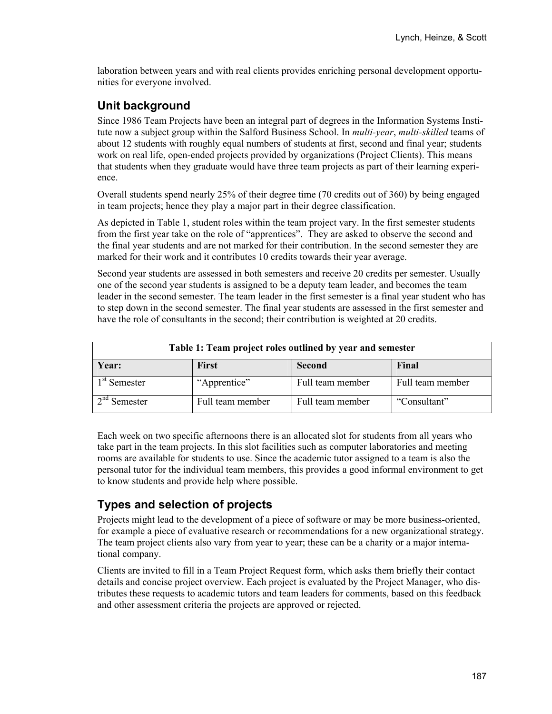laboration between years and with real clients provides enriching personal development opportunities for everyone involved.

#### **Unit background**

Since 1986 Team Projects have been an integral part of degrees in the Information Systems Institute now a subject group within the Salford Business School. In *multi-year*, *multi-skilled* teams of about 12 students with roughly equal numbers of students at first, second and final year; students work on real life, open-ended projects provided by organizations (Project Clients). This means that students when they graduate would have three team projects as part of their learning experience.

Overall students spend nearly 25% of their degree time (70 credits out of 360) by being engaged in team projects; hence they play a major part in their degree classification.

As depicted in Table 1, student roles within the team project vary. In the first semester students from the first year take on the role of "apprentices". They are asked to observe the second and the final year students and are not marked for their contribution. In the second semester they are marked for their work and it contributes 10 credits towards their year average.

Second year students are assessed in both semesters and receive 20 credits per semester. Usually one of the second year students is assigned to be a deputy team leader, and becomes the team leader in the second semester. The team leader in the first semester is a final year student who has to step down in the second semester. The final year students are assessed in the first semester and have the role of consultants in the second; their contribution is weighted at 20 credits.

| Table 1: Team project roles outlined by year and semester |                  |                  |                  |
|-----------------------------------------------------------|------------------|------------------|------------------|
| Year:                                                     | <b>First</b>     | Second           | Final            |
| 1 <sup>st</sup> Semester                                  | "Apprentice"     | Full team member | Full team member |
| $2nd$ Semester                                            | Full team member | Full team member | "Consultant"     |

Each week on two specific afternoons there is an allocated slot for students from all years who take part in the team projects. In this slot facilities such as computer laboratories and meeting rooms are available for students to use. Since the academic tutor assigned to a team is also the personal tutor for the individual team members, this provides a good informal environment to get to know students and provide help where possible.

## **Types and selection of projects**

Projects might lead to the development of a piece of software or may be more business-oriented, for example a piece of evaluative research or recommendations for a new organizational strategy. The team project clients also vary from year to year; these can be a charity or a major international company.

Clients are invited to fill in a Team Project Request form, which asks them briefly their contact details and concise project overview. Each project is evaluated by the Project Manager, who distributes these requests to academic tutors and team leaders for comments, based on this feedback and other assessment criteria the projects are approved or rejected.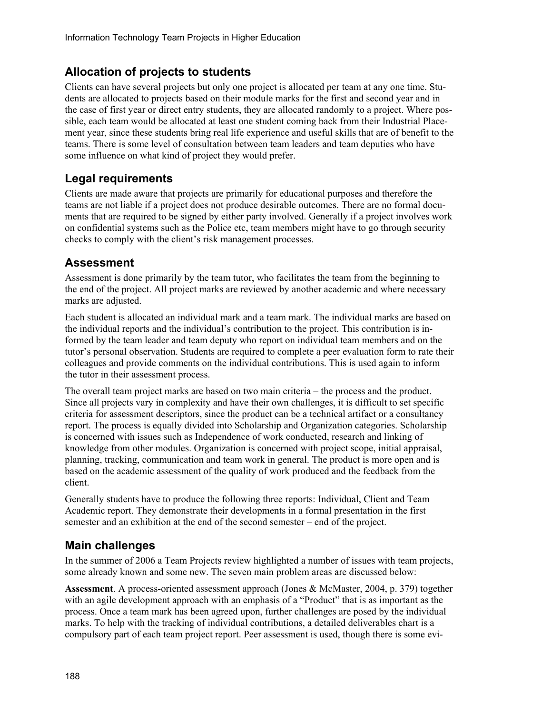#### **Allocation of projects to students**

Clients can have several projects but only one project is allocated per team at any one time. Students are allocated to projects based on their module marks for the first and second year and in the case of first year or direct entry students, they are allocated randomly to a project. Where possible, each team would be allocated at least one student coming back from their Industrial Placement year, since these students bring real life experience and useful skills that are of benefit to the teams. There is some level of consultation between team leaders and team deputies who have some influence on what kind of project they would prefer.

#### **Legal requirements**

Clients are made aware that projects are primarily for educational purposes and therefore the teams are not liable if a project does not produce desirable outcomes. There are no formal documents that are required to be signed by either party involved. Generally if a project involves work on confidential systems such as the Police etc, team members might have to go through security checks to comply with the client's risk management processes.

#### **Assessment**

Assessment is done primarily by the team tutor, who facilitates the team from the beginning to the end of the project. All project marks are reviewed by another academic and where necessary marks are adjusted.

Each student is allocated an individual mark and a team mark. The individual marks are based on the individual reports and the individual's contribution to the project. This contribution is informed by the team leader and team deputy who report on individual team members and on the tutor's personal observation. Students are required to complete a peer evaluation form to rate their colleagues and provide comments on the individual contributions. This is used again to inform the tutor in their assessment process.

The overall team project marks are based on two main criteria – the process and the product. Since all projects vary in complexity and have their own challenges, it is difficult to set specific criteria for assessment descriptors, since the product can be a technical artifact or a consultancy report. The process is equally divided into Scholarship and Organization categories. Scholarship is concerned with issues such as Independence of work conducted, research and linking of knowledge from other modules. Organization is concerned with project scope, initial appraisal, planning, tracking, communication and team work in general. The product is more open and is based on the academic assessment of the quality of work produced and the feedback from the client.

Generally students have to produce the following three reports: Individual, Client and Team Academic report. They demonstrate their developments in a formal presentation in the first semester and an exhibition at the end of the second semester – end of the project.

#### **Main challenges**

In the summer of 2006 a Team Projects review highlighted a number of issues with team projects, some already known and some new. The seven main problem areas are discussed below:

**Assessment**. A process-oriented assessment approach (Jones & McMaster, 2004, p. 379) together with an agile development approach with an emphasis of a "Product" that is as important as the process. Once a team mark has been agreed upon, further challenges are posed by the individual marks. To help with the tracking of individual contributions, a detailed deliverables chart is a compulsory part of each team project report. Peer assessment is used, though there is some evi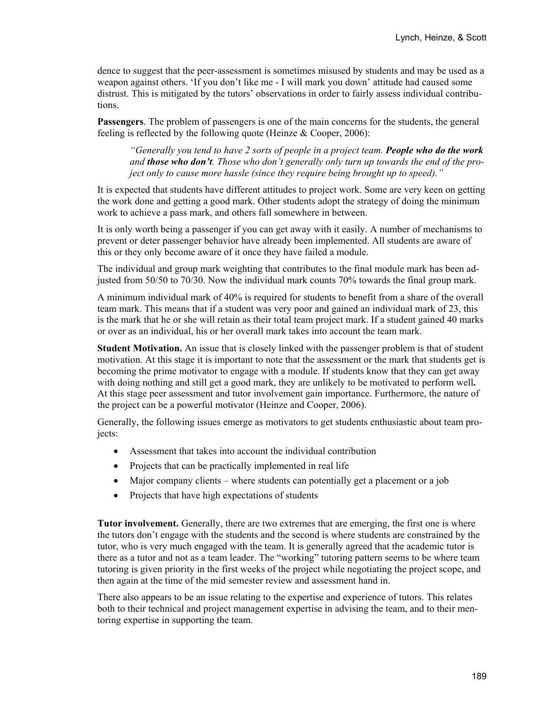dence to suggest that the peer-assessment is sometimes misused by students and may be used as a weapon against others. 'If you don't like me - I will mark you down' attitude had caused some distrust. This is mitigated by the tutors' observations in order to fairly assess individual contributions.

**Passengers**. The problem of passengers is one of the main concerns for the students, the general feeling is reflected by the following quote (Heinze & Cooper, 2006):

*"Generally you tend to have 2 sorts of people in a project team. People who do the work and those who don't. Those who don't generally only turn up towards the end of the project only to cause more hassle (since they require being brought up to speed)."* 

It is expected that students have different attitudes to project work. Some are very keen on getting the work done and getting a good mark. Other students adopt the strategy of doing the minimum work to achieve a pass mark, and others fall somewhere in between.

It is only worth being a passenger if you can get away with it easily. A number of mechanisms to prevent or deter passenger behavior have already been implemented. All students are aware of this or they only become aware of it once they have failed a module.

The individual and group mark weighting that contributes to the final module mark has been adjusted from 50/50 to 70/30. Now the individual mark counts 70% towards the final group mark.

A minimum individual mark of 40% is required for students to benefit from a share of the overall team mark. This means that if a student was very poor and gained an individual mark of 23, this is the mark that he or she will retain as their total team project mark. If a student gained 40 marks or over as an individual, his or her overall mark takes into account the team mark.

**Student Motivation.** An issue that is closely linked with the passenger problem is that of student motivation. At this stage it is important to note that the assessment or the mark that students get is becoming the prime motivator to engage with a module. If students know that they can get away with doing nothing and still get a good mark, they are unlikely to be motivated to perform well**.**  At this stage peer assessment and tutor involvement gain importance. Furthermore, the nature of the project can be a powerful motivator (Heinze and Cooper, 2006).

Generally, the following issues emerge as motivators to get students enthusiastic about team projects:

- Assessment that takes into account the individual contribution
- Projects that can be practically implemented in real life
- Major company clients where students can potentially get a placement or a job
- Projects that have high expectations of students

**Tutor involvement.** Generally, there are two extremes that are emerging, the first one is where the tutors don't engage with the students and the second is where students are constrained by the tutor, who is very much engaged with the team. It is generally agreed that the academic tutor is there as a tutor and not as a team leader. The "working" tutoring pattern seems to be where team tutoring is given priority in the first weeks of the project while negotiating the project scope, and then again at the time of the mid semester review and assessment hand in.

There also appears to be an issue relating to the expertise and experience of tutors. This relates both to their technical and project management expertise in advising the team, and to their mentoring expertise in supporting the team.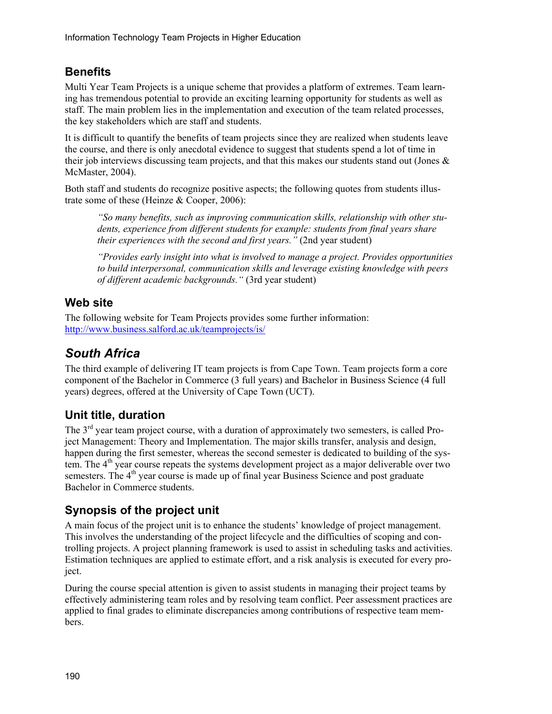### **Benefits**

Multi Year Team Projects is a unique scheme that provides a platform of extremes. Team learning has tremendous potential to provide an exciting learning opportunity for students as well as staff. The main problem lies in the implementation and execution of the team related processes, the key stakeholders which are staff and students.

It is difficult to quantify the benefits of team projects since they are realized when students leave the course, and there is only anecdotal evidence to suggest that students spend a lot of time in their job interviews discussing team projects, and that this makes our students stand out (Jones  $\&$ McMaster, 2004).

Both staff and students do recognize positive aspects; the following quotes from students illustrate some of these (Heinze & Cooper, 2006):

*"So many benefits, such as improving communication skills, relationship with other students, experience from different students for example: students from final years share their experiences with the second and first years."* (2nd year student)

*"Provides early insight into what is involved to manage a project. Provides opportunities to build interpersonal, communication skills and leverage existing knowledge with peers of different academic backgrounds."* (3rd year student)

### **Web site**

The following website for Team Projects provides some further information: http://www.business.salford.ac.uk/teamprojects/is/

## *South Africa*

The third example of delivering IT team projects is from Cape Town. Team projects form a core component of the Bachelor in Commerce (3 full years) and Bachelor in Business Science (4 full years) degrees, offered at the University of Cape Town (UCT).

## **Unit title, duration**

The 3<sup>rd</sup> year team project course, with a duration of approximately two semesters, is called Project Management: Theory and Implementation. The major skills transfer, analysis and design, happen during the first semester, whereas the second semester is dedicated to building of the system. The  $4<sup>th</sup>$  year course repeats the systems development project as a major deliverable over two semesters. The 4<sup>th</sup> year course is made up of final year Business Science and post graduate Bachelor in Commerce students.

## **Synopsis of the project unit**

A main focus of the project unit is to enhance the students' knowledge of project management. This involves the understanding of the project lifecycle and the difficulties of scoping and controlling projects. A project planning framework is used to assist in scheduling tasks and activities. Estimation techniques are applied to estimate effort, and a risk analysis is executed for every project.

During the course special attention is given to assist students in managing their project teams by effectively administering team roles and by resolving team conflict. Peer assessment practices are applied to final grades to eliminate discrepancies among contributions of respective team members.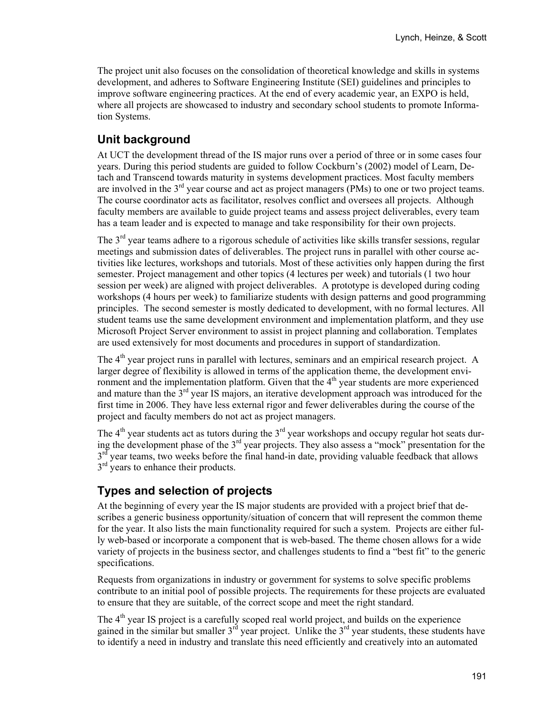The project unit also focuses on the consolidation of theoretical knowledge and skills in systems development, and adheres to Software Engineering Institute (SEI) guidelines and principles to improve software engineering practices. At the end of every academic year, an EXPO is held, where all projects are showcased to industry and secondary school students to promote Information Systems.

## **Unit background**

At UCT the development thread of the IS major runs over a period of three or in some cases four years. During this period students are guided to follow Cockburn's (2002) model of Learn, Detach and Transcend towards maturity in systems development practices. Most faculty members are involved in the  $3<sup>rd</sup>$  year course and act as project managers (PMs) to one or two project teams. The course coordinator acts as facilitator, resolves conflict and oversees all projects. Although faculty members are available to guide project teams and assess project deliverables, every team has a team leader and is expected to manage and take responsibility for their own projects.

The 3<sup>rd</sup> year teams adhere to a rigorous schedule of activities like skills transfer sessions, regular meetings and submission dates of deliverables. The project runs in parallel with other course activities like lectures, workshops and tutorials. Most of these activities only happen during the first semester. Project management and other topics (4 lectures per week) and tutorials (1 two hour session per week) are aligned with project deliverables. A prototype is developed during coding workshops (4 hours per week) to familiarize students with design patterns and good programming principles. The second semester is mostly dedicated to development, with no formal lectures. All student teams use the same development environment and implementation platform, and they use Microsoft Project Server environment to assist in project planning and collaboration. Templates are used extensively for most documents and procedures in support of standardization.

The  $4<sup>th</sup>$  year project runs in parallel with lectures, seminars and an empirical research project. A larger degree of flexibility is allowed in terms of the application theme, the development environment and the implementation platform. Given that the 4<sup>th</sup> year students are more experienced and mature than the 3<sup>rd</sup> year IS majors, an iterative development approach was introduced for the first time in 2006. They have less external rigor and fewer deliverables during the course of the project and faculty members do not act as project managers.

The  $4<sup>th</sup>$  year students act as tutors during the  $3<sup>rd</sup>$  year workshops and occupy regular hot seats during the development phase of the 3rd year projects. They also assess a "mock" presentation for the  $3<sup>rd</sup>$  year teams, two weeks before the final hand-in date, providing valuable feedback that allows  $3<sup>rd</sup>$  years to enhance their products.

#### **Types and selection of projects**

At the beginning of every year the IS major students are provided with a project brief that describes a generic business opportunity/situation of concern that will represent the common theme for the year. It also lists the main functionality required for such a system. Projects are either fully web-based or incorporate a component that is web-based. The theme chosen allows for a wide variety of projects in the business sector, and challenges students to find a "best fit" to the generic specifications.

Requests from organizations in industry or government for systems to solve specific problems contribute to an initial pool of possible projects. The requirements for these projects are evaluated to ensure that they are suitable, of the correct scope and meet the right standard.

The  $4<sup>th</sup>$  year IS project is a carefully scoped real world project, and builds on the experience gained in the similar but smaller  $3^{rd}$  year project. Unlike the  $3^{rd}$  year students, these students have to identify a need in industry and translate this need efficiently and creatively into an automated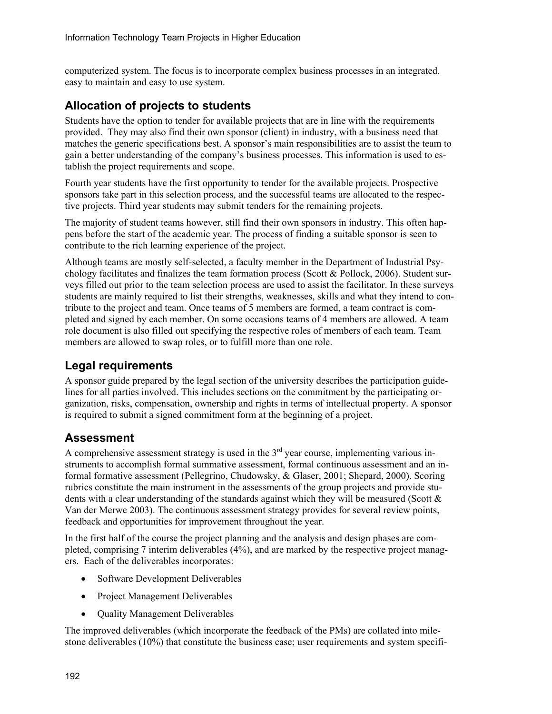computerized system. The focus is to incorporate complex business processes in an integrated, easy to maintain and easy to use system.

#### **Allocation of projects to students**

Students have the option to tender for available projects that are in line with the requirements provided. They may also find their own sponsor (client) in industry, with a business need that matches the generic specifications best. A sponsor's main responsibilities are to assist the team to gain a better understanding of the company's business processes. This information is used to establish the project requirements and scope.

Fourth year students have the first opportunity to tender for the available projects. Prospective sponsors take part in this selection process, and the successful teams are allocated to the respective projects. Third year students may submit tenders for the remaining projects.

The majority of student teams however, still find their own sponsors in industry. This often happens before the start of the academic year. The process of finding a suitable sponsor is seen to contribute to the rich learning experience of the project.

Although teams are mostly self-selected, a faculty member in the Department of Industrial Psychology facilitates and finalizes the team formation process (Scott & Pollock, 2006). Student surveys filled out prior to the team selection process are used to assist the facilitator. In these surveys students are mainly required to list their strengths, weaknesses, skills and what they intend to contribute to the project and team. Once teams of 5 members are formed, a team contract is completed and signed by each member. On some occasions teams of 4 members are allowed. A team role document is also filled out specifying the respective roles of members of each team. Team members are allowed to swap roles, or to fulfill more than one role.

#### **Legal requirements**

A sponsor guide prepared by the legal section of the university describes the participation guidelines for all parties involved. This includes sections on the commitment by the participating organization, risks, compensation, ownership and rights in terms of intellectual property. A sponsor is required to submit a signed commitment form at the beginning of a project.

#### **Assessment**

A comprehensive assessment strategy is used in the  $3<sup>rd</sup>$  year course, implementing various instruments to accomplish formal summative assessment, formal continuous assessment and an informal formative assessment (Pellegrino, Chudowsky, & Glaser, 2001; Shepard, 2000). Scoring rubrics constitute the main instrument in the assessments of the group projects and provide students with a clear understanding of the standards against which they will be measured (Scott  $\&$ Van der Merwe 2003). The continuous assessment strategy provides for several review points, feedback and opportunities for improvement throughout the year.

In the first half of the course the project planning and the analysis and design phases are completed, comprising 7 interim deliverables (4%), and are marked by the respective project managers. Each of the deliverables incorporates:

- Software Development Deliverables
- Project Management Deliverables
- Ouality Management Deliverables

The improved deliverables (which incorporate the feedback of the PMs) are collated into milestone deliverables (10%) that constitute the business case; user requirements and system specifi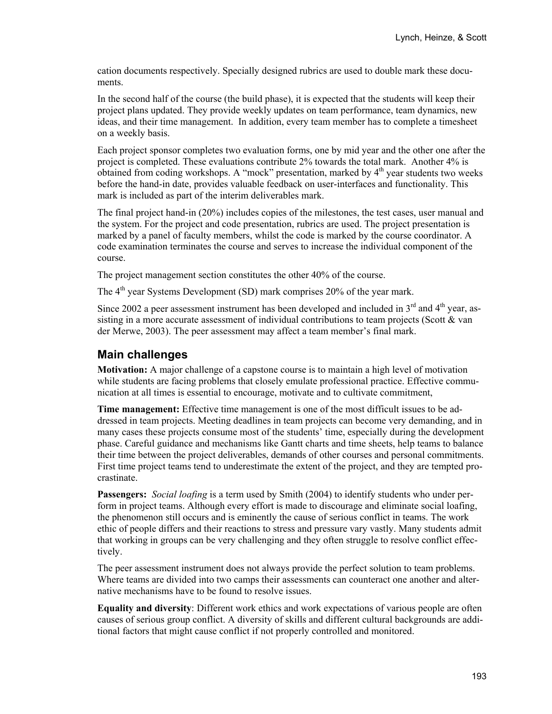cation documents respectively. Specially designed rubrics are used to double mark these documents.

In the second half of the course (the build phase), it is expected that the students will keep their project plans updated. They provide weekly updates on team performance, team dynamics, new ideas, and their time management. In addition, every team member has to complete a timesheet on a weekly basis.

Each project sponsor completes two evaluation forms, one by mid year and the other one after the project is completed. These evaluations contribute 2% towards the total mark. Another 4% is obtained from coding workshops. A "mock" presentation, marked by  $4<sup>th</sup>$  year students two weeks before the hand-in date, provides valuable feedback on user-interfaces and functionality. This mark is included as part of the interim deliverables mark.

The final project hand-in (20%) includes copies of the milestones, the test cases, user manual and the system. For the project and code presentation, rubrics are used. The project presentation is marked by a panel of faculty members, whilst the code is marked by the course coordinator. A code examination terminates the course and serves to increase the individual component of the course.

The project management section constitutes the other 40% of the course.

The  $4<sup>th</sup>$  year Systems Development (SD) mark comprises 20% of the year mark.

Since 2002 a peer assessment instrument has been developed and included in  $3<sup>rd</sup>$  and  $4<sup>th</sup>$  vear, assisting in a more accurate assessment of individual contributions to team projects (Scott & van der Merwe, 2003). The peer assessment may affect a team member's final mark.

#### **Main challenges**

**Motivation:** A major challenge of a capstone course is to maintain a high level of motivation while students are facing problems that closely emulate professional practice. Effective communication at all times is essential to encourage, motivate and to cultivate commitment,

**Time management:** Effective time management is one of the most difficult issues to be addressed in team projects. Meeting deadlines in team projects can become very demanding, and in many cases these projects consume most of the students' time, especially during the development phase. Careful guidance and mechanisms like Gantt charts and time sheets, help teams to balance their time between the project deliverables, demands of other courses and personal commitments. First time project teams tend to underestimate the extent of the project, and they are tempted procrastinate.

**Passengers:** *Social loafing* is a term used by Smith (2004) to identify students who under perform in project teams. Although every effort is made to discourage and eliminate social loafing, the phenomenon still occurs and is eminently the cause of serious conflict in teams. The work ethic of people differs and their reactions to stress and pressure vary vastly. Many students admit that working in groups can be very challenging and they often struggle to resolve conflict effectively.

The peer assessment instrument does not always provide the perfect solution to team problems. Where teams are divided into two camps their assessments can counteract one another and alternative mechanisms have to be found to resolve issues.

**Equality and diversity**: Different work ethics and work expectations of various people are often causes of serious group conflict. A diversity of skills and different cultural backgrounds are additional factors that might cause conflict if not properly controlled and monitored.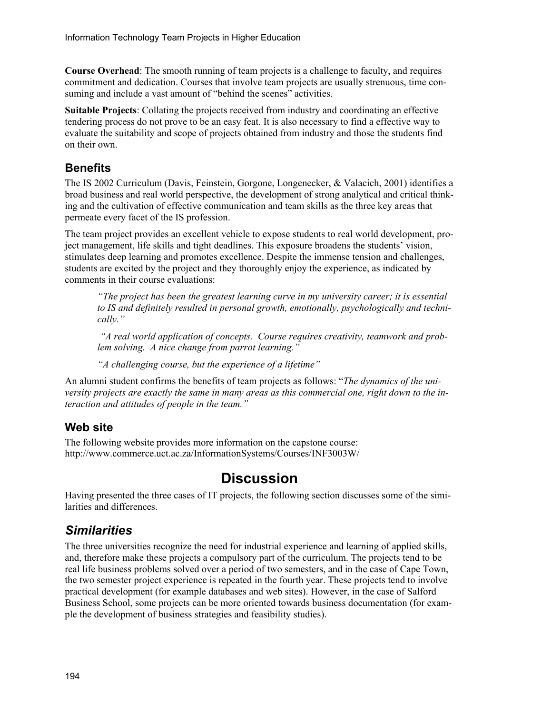**Course Overhead**: The smooth running of team projects is a challenge to faculty, and requires commitment and dedication. Courses that involve team projects are usually strenuous, time consuming and include a vast amount of "behind the scenes" activities.

**Suitable Projects**: Collating the projects received from industry and coordinating an effective tendering process do not prove to be an easy feat. It is also necessary to find a effective way to evaluate the suitability and scope of projects obtained from industry and those the students find on their own.

#### **Benefits**

The IS 2002 Curriculum (Davis, Feinstein, Gorgone, Longenecker, & Valacich, 2001) identifies a broad business and real world perspective, the development of strong analytical and critical thinking and the cultivation of effective communication and team skills as the three key areas that permeate every facet of the IS profession.

The team project provides an excellent vehicle to expose students to real world development, project management, life skills and tight deadlines. This exposure broadens the students' vision, stimulates deep learning and promotes excellence. Despite the immense tension and challenges, students are excited by the project and they thoroughly enjoy the experience, as indicated by comments in their course evaluations:

*"The project has been the greatest learning curve in my university career; it is essential to IS and definitely resulted in personal growth, emotionally, psychologically and technically."* 

 *"A real world application of concepts. Course requires creativity, teamwork and problem solving. A nice change from parrot learning."* 

*"A challenging course, but the experience of a lifetime"* 

An alumni student confirms the benefits of team projects as follows: "*The dynamics of the university projects are exactly the same in many areas as this commercial one, right down to the interaction and attitudes of people in the team."* 

#### **Web site**

The following website provides more information on the capstone course: http://www.commerce.uct.ac.za/InformationSystems/Courses/INF3003W/

## **Discussion**

Having presented the three cases of IT projects, the following section discusses some of the similarities and differences.

## *Similarities*

The three universities recognize the need for industrial experience and learning of applied skills, and, therefore make these projects a compulsory part of the curriculum. The projects tend to be real life business problems solved over a period of two semesters, and in the case of Cape Town, the two semester project experience is repeated in the fourth year. These projects tend to involve practical development (for example databases and web sites). However, in the case of Salford Business School, some projects can be more oriented towards business documentation (for example the development of business strategies and feasibility studies).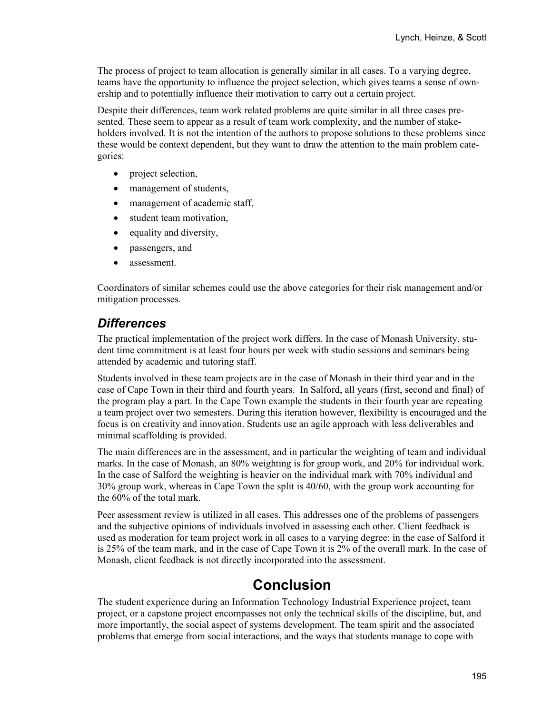The process of project to team allocation is generally similar in all cases. To a varying degree, teams have the opportunity to influence the project selection, which gives teams a sense of ownership and to potentially influence their motivation to carry out a certain project.

Despite their differences, team work related problems are quite similar in all three cases presented. These seem to appear as a result of team work complexity, and the number of stakeholders involved. It is not the intention of the authors to propose solutions to these problems since these would be context dependent, but they want to draw the attention to the main problem categories:

- project selection,
- management of students,
- management of academic staff,
- student team motivation,
- equality and diversity,
- passengers, and
- assessment.

Coordinators of similar schemes could use the above categories for their risk management and/or mitigation processes.

#### *Differences*

The practical implementation of the project work differs. In the case of Monash University, student time commitment is at least four hours per week with studio sessions and seminars being attended by academic and tutoring staff.

Students involved in these team projects are in the case of Monash in their third year and in the case of Cape Town in their third and fourth years. In Salford, all years (first, second and final) of the program play a part. In the Cape Town example the students in their fourth year are repeating a team project over two semesters. During this iteration however, flexibility is encouraged and the focus is on creativity and innovation. Students use an agile approach with less deliverables and minimal scaffolding is provided.

The main differences are in the assessment, and in particular the weighting of team and individual marks. In the case of Monash, an 80% weighting is for group work, and 20% for individual work. In the case of Salford the weighting is heavier on the individual mark with 70% individual and 30% group work, whereas in Cape Town the split is 40/60, with the group work accounting for the 60% of the total mark.

Peer assessment review is utilized in all cases. This addresses one of the problems of passengers and the subjective opinions of individuals involved in assessing each other. Client feedback is used as moderation for team project work in all cases to a varying degree: in the case of Salford it is 25% of the team mark, and in the case of Cape Town it is 2% of the overall mark. In the case of Monash, client feedback is not directly incorporated into the assessment.

## **Conclusion**

The student experience during an Information Technology Industrial Experience project, team project, or a capstone project encompasses not only the technical skills of the discipline, but, and more importantly, the social aspect of systems development. The team spirit and the associated problems that emerge from social interactions, and the ways that students manage to cope with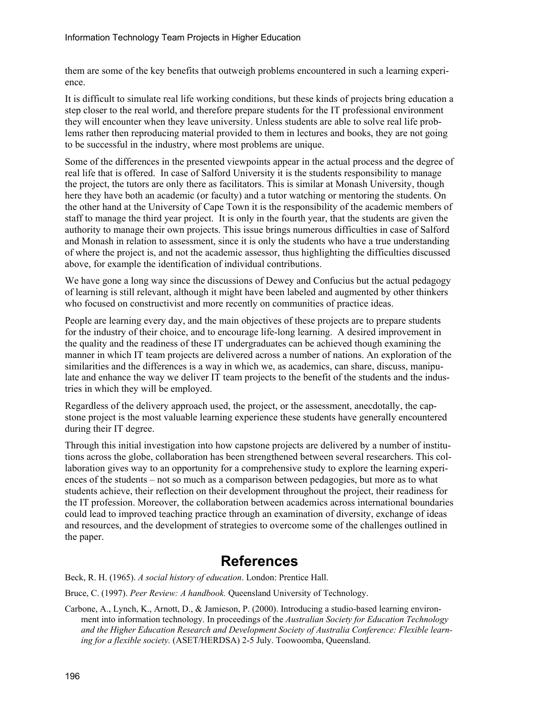them are some of the key benefits that outweigh problems encountered in such a learning experience.

It is difficult to simulate real life working conditions, but these kinds of projects bring education a step closer to the real world, and therefore prepare students for the IT professional environment they will encounter when they leave university. Unless students are able to solve real life problems rather then reproducing material provided to them in lectures and books, they are not going to be successful in the industry, where most problems are unique.

Some of the differences in the presented viewpoints appear in the actual process and the degree of real life that is offered. In case of Salford University it is the students responsibility to manage the project, the tutors are only there as facilitators. This is similar at Monash University, though here they have both an academic (or faculty) and a tutor watching or mentoring the students. On the other hand at the University of Cape Town it is the responsibility of the academic members of staff to manage the third year project. It is only in the fourth year, that the students are given the authority to manage their own projects. This issue brings numerous difficulties in case of Salford and Monash in relation to assessment, since it is only the students who have a true understanding of where the project is, and not the academic assessor, thus highlighting the difficulties discussed above, for example the identification of individual contributions.

We have gone a long way since the discussions of Dewey and Confucius but the actual pedagogy of learning is still relevant, although it might have been labeled and augmented by other thinkers who focused on constructivist and more recently on communities of practice ideas.

People are learning every day, and the main objectives of these projects are to prepare students for the industry of their choice, and to encourage life-long learning. A desired improvement in the quality and the readiness of these IT undergraduates can be achieved though examining the manner in which IT team projects are delivered across a number of nations. An exploration of the similarities and the differences is a way in which we, as academics, can share, discuss, manipulate and enhance the way we deliver IT team projects to the benefit of the students and the industries in which they will be employed.

Regardless of the delivery approach used, the project, or the assessment, anecdotally, the capstone project is the most valuable learning experience these students have generally encountered during their IT degree.

Through this initial investigation into how capstone projects are delivered by a number of institutions across the globe, collaboration has been strengthened between several researchers. This collaboration gives way to an opportunity for a comprehensive study to explore the learning experiences of the students – not so much as a comparison between pedagogies, but more as to what students achieve, their reflection on their development throughout the project, their readiness for the IT profession. Moreover, the collaboration between academics across international boundaries could lead to improved teaching practice through an examination of diversity, exchange of ideas and resources, and the development of strategies to overcome some of the challenges outlined in the paper.

## **References**

Beck, R. H. (1965). *A social history of education*. London: Prentice Hall.

Bruce, C. (1997). *Peer Review: A handbook.* Queensland University of Technology.

Carbone, A., Lynch, K., Arnott, D., & Jamieson, P. (2000). Introducing a studio-based learning environment into information technology. In proceedings of the *Australian Society for Education Technology and the Higher Education Research and Development Society of Australia Conference: Flexible learning for a flexible society.* (ASET/HERDSA) 2-5 July. Toowoomba, Queensland.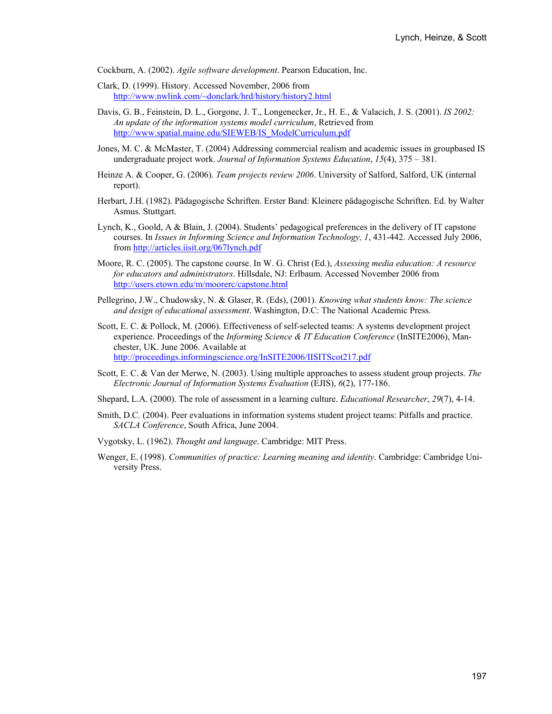Cockburn, A. (2002). *Agile software development*. Pearson Education, Inc.

- Clark, D. (1999). History. Accessed November, 2006 from http://www.nwlink.com/~donclark/hrd/history/history2.html
- Davis, G. B., Feinstein, D. L., Gorgone, J. T., Longenecker, Jr., H. E., & Valacich, J. S. (2001). *IS 2002: An update of the information systems model curriculum*, Retrieved from http://www.spatial.maine.edu/SIEWEB/IS\_ModelCurriculum.pdf
- Jones, M. C. & McMaster, T. (2004) Addressing commercial realism and academic issues in groupbased IS undergraduate project work. *Journal of Information Systems Education*, *15*(4), 375 – 381.
- Heinze A. & Cooper, G. (2006). *Team projects review 2006*. University of Salford, Salford, UK (internal report).
- Herbart, J.H. (1982). Pädagogische Schriften. Erster Band: Kleinere pädagogische Schriften. Ed. by Walter Asmus. Stuttgart.
- Lynch, K., Goold, A & Blain, J. (2004). Students' pedagogical preferences in the delivery of IT capstone courses. In *Issues in Informing Science and Information Technology, 1*, 431-442. Accessed July 2006, from http://articles.iisit.org/067lynch.pdf
- Moore, R. C. (2005). The capstone course. In W. G. Christ (Ed.), *Assessing media education: A resource for educators and administrators*. Hillsdale, NJ: Erlbaum. Accessed November 2006 from http://users.etown.edu/m/moorerc/capstone.html
- Pellegrino, J.W., Chudowsky, N. & Glaser, R. (Eds), (2001). *Knowing what students know: The science and design of educational assessment*. Washington, D.C: The National Academic Press.
- Scott, E. C. & Pollock, M. (2006). Effectiveness of self-selected teams: A systems development project experience. Proceedings of the *Informing Science & IT Education Conference* (InSITE2006), Manchester, UK. June 2006. Available at http://proceedings.informingscience.org/InSITE2006/IISITScot217.pdf
- Scott, E. C. & Van der Merwe, N. (2003). Using multiple approaches to assess student group projects. *The Electronic Journal of Information Systems Evaluation* (EJIS), *6*(2), 177-186.
- Shepard, L.A. (2000). The role of assessment in a learning culture. *Educational Researcher*, *29*(7), 4-14.
- Smith, D.C. (2004). Peer evaluations in information systems student project teams: Pitfalls and practice. *SACLA Conference*, South Africa, June 2004.
- Vygotsky, L. (1962). *Thought and language*. Cambridge: MIT Press.
- Wenger, E. (1998). *Communities of practice: Learning meaning and identity*. Cambridge: Cambridge University Press.